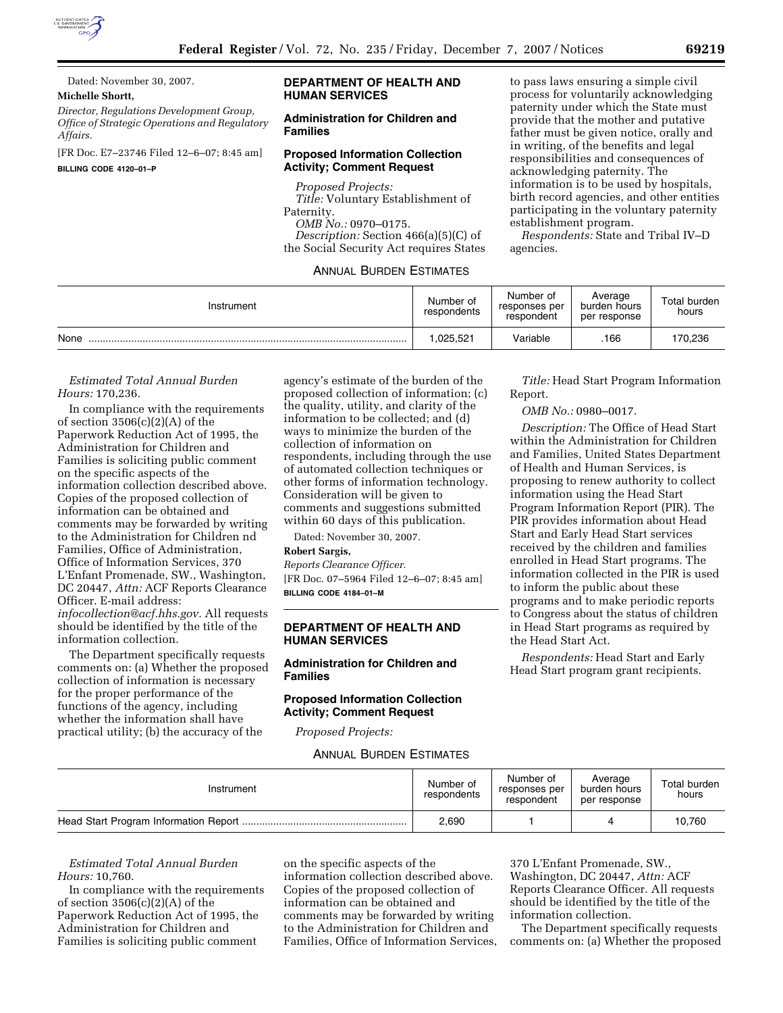

Dated: November 30, 2007.

## **Michelle Shortt,**

*Director, Regulations Development Group, Office of Strategic Operations and Regulatory Affairs.* 

[FR Doc. E7–23746 Filed 12–6–07; 8:45 am] **BILLING CODE 4120–01–P** 

## **DEPARTMENT OF HEALTH AND HUMAN SERVICES**

## **Administration for Children and Families**

## **Proposed Information Collection Activity; Comment Request**

*Proposed Projects: Title:* Voluntary Establishment of Paternity. *OMB No.:* 0970–0175. *Description:* Section 466(a)(5)(C) of the Social Security Act requires States

## ANNUAL BURDEN ESTIMATES

to pass laws ensuring a simple civil process for voluntarily acknowledging paternity under which the State must provide that the mother and putative father must be given notice, orally and in writing, of the benefits and legal responsibilities and consequences of acknowledging paternity. The information is to be used by hospitals, birth record agencies, and other entities participating in the voluntary paternity establishment program.

*Respondents:* State and Tribal IV–D agencies.

| Instrument | Number of<br>respondents | Number of<br>responses per<br>respondent | Average<br>burden hours<br>per response | Total burden<br>hours |
|------------|--------------------------|------------------------------------------|-----------------------------------------|-----------------------|
| None       | ,025,521                 | Variable                                 | .166                                    | 170,236               |

#### *Estimated Total Annual Burden Hours:* 170,236.

In compliance with the requirements of section  $3506(c)(2)(A)$  of the Paperwork Reduction Act of 1995, the Administration for Children and Families is soliciting public comment on the specific aspects of the information collection described above. Copies of the proposed collection of information can be obtained and comments may be forwarded by writing to the Administration for Children nd Families, Office of Administration, Office of Information Services, 370 L'Enfant Promenade, SW., Washington, DC 20447, *Attn:* ACF Reports Clearance Officer. E-mail address: *infocollection@acf.hhs.gov.* All requests should be identified by the title of the information collection.

The Department specifically requests comments on: (a) Whether the proposed collection of information is necessary for the proper performance of the functions of the agency, including whether the information shall have practical utility; (b) the accuracy of the

agency's estimate of the burden of the proposed collection of information; (c) the quality, utility, and clarity of the information to be collected; and (d) ways to minimize the burden of the collection of information on respondents, including through the use of automated collection techniques or other forms of information technology. Consideration will be given to comments and suggestions submitted within 60 days of this publication.

Dated: November 30, 2007.

# **Robert Sargis,**

*Reports Clearance Officer.*  [FR Doc. 07–5964 Filed 12–6–07; 8:45 am] **BILLING CODE 4184–01–M** 

## **DEPARTMENT OF HEALTH AND HUMAN SERVICES**

## **Administration for Children and Families**

## **Proposed Information Collection Activity; Comment Request**

*Proposed Projects:* 

ANNUAL BURDEN ESTIMATES

*Title:* Head Start Program Information Report.

*OMB No.:* 0980–0017.

*Description:* The Office of Head Start within the Administration for Children and Families, United States Department of Health and Human Services, is proposing to renew authority to collect information using the Head Start Program Information Report (PIR). The PIR provides information about Head Start and Early Head Start services received by the children and families enrolled in Head Start programs. The information collected in the PIR is used to inform the public about these programs and to make periodic reports to Congress about the status of children in Head Start programs as required by the Head Start Act.

*Respondents:* Head Start and Early Head Start program grant recipients.

| Instrument | Number of<br>respondents | Number of<br>responses per<br>respondent | Average<br>burden hours<br>per response | Total burden<br>hours |
|------------|--------------------------|------------------------------------------|-----------------------------------------|-----------------------|
|            | 2,690                    |                                          |                                         | 10.760                |

*Estimated Total Annual Burden Hours:* 10,760.

In compliance with the requirements of section 3506(c)(2)(A) of the Paperwork Reduction Act of 1995, the Administration for Children and Families is soliciting public comment

on the specific aspects of the information collection described above. Copies of the proposed collection of information can be obtained and comments may be forwarded by writing to the Administration for Children and Families, Office of Information Services,

370 L'Enfant Promenade, SW., Washington, DC 20447, *Attn:* ACF Reports Clearance Officer. All requests should be identified by the title of the information collection.

The Department specifically requests comments on: (a) Whether the proposed